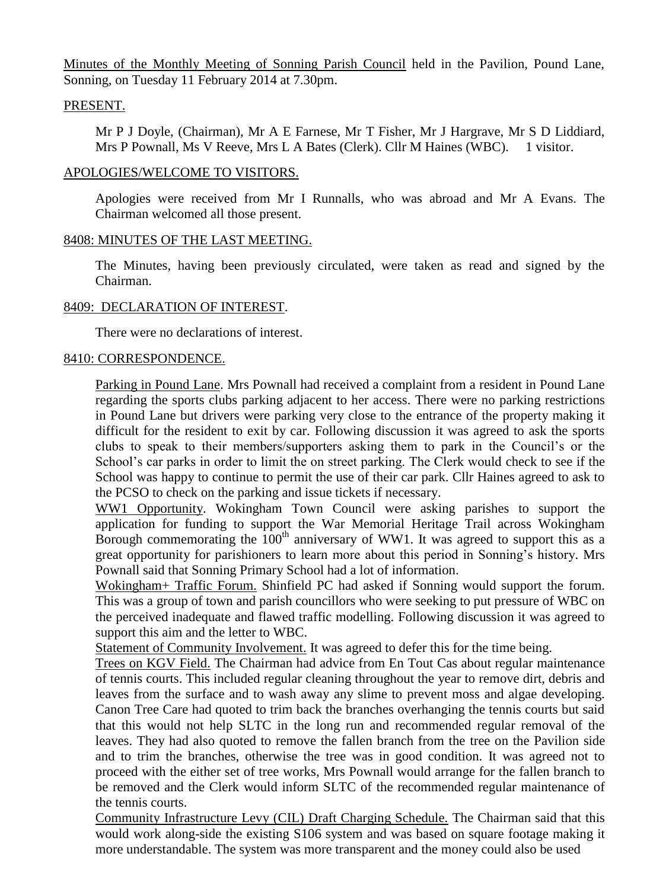Minutes of the Monthly Meeting of Sonning Parish Council held in the Pavilion, Pound Lane, Sonning, on Tuesday 11 February 2014 at 7.30pm.

## PRESENT.

Mr P J Doyle, (Chairman), Mr A E Farnese, Mr T Fisher, Mr J Hargrave, Mr S D Liddiard, Mrs P Pownall, Ms V Reeve, Mrs L A Bates (Clerk). Cllr M Haines (WBC). 1 visitor.

## APOLOGIES/WELCOME TO VISITORS.

Apologies were received from Mr I Runnalls, who was abroad and Mr A Evans. The Chairman welcomed all those present.

# 8408: MINUTES OF THE LAST MEETING.

The Minutes, having been previously circulated, were taken as read and signed by the Chairman.

# 8409: DECLARATION OF INTEREST.

There were no declarations of interest.

# 8410: CORRESPONDENCE.

Parking in Pound Lane. Mrs Pownall had received a complaint from a resident in Pound Lane regarding the sports clubs parking adjacent to her access. There were no parking restrictions in Pound Lane but drivers were parking very close to the entrance of the property making it difficult for the resident to exit by car. Following discussion it was agreed to ask the sports clubs to speak to their members/supporters asking them to park in the Council's or the School's car parks in order to limit the on street parking. The Clerk would check to see if the School was happy to continue to permit the use of their car park. Cllr Haines agreed to ask to the PCSO to check on the parking and issue tickets if necessary.

WW1 Opportunity. Wokingham Town Council were asking parishes to support the application for funding to support the War Memorial Heritage Trail across Wokingham Borough commemorating the  $100<sup>th</sup>$  anniversary of WW1. It was agreed to support this as a great opportunity for parishioners to learn more about this period in Sonning's history. Mrs Pownall said that Sonning Primary School had a lot of information.

Wokingham+ Traffic Forum. Shinfield PC had asked if Sonning would support the forum. This was a group of town and parish councillors who were seeking to put pressure of WBC on the perceived inadequate and flawed traffic modelling. Following discussion it was agreed to support this aim and the letter to WBC.

Statement of Community Involvement. It was agreed to defer this for the time being.

Trees on KGV Field. The Chairman had advice from En Tout Cas about regular maintenance of tennis courts. This included regular cleaning throughout the year to remove dirt, debris and leaves from the surface and to wash away any slime to prevent moss and algae developing. Canon Tree Care had quoted to trim back the branches overhanging the tennis courts but said that this would not help SLTC in the long run and recommended regular removal of the leaves. They had also quoted to remove the fallen branch from the tree on the Pavilion side and to trim the branches, otherwise the tree was in good condition. It was agreed not to proceed with the either set of tree works, Mrs Pownall would arrange for the fallen branch to be removed and the Clerk would inform SLTC of the recommended regular maintenance of the tennis courts.

Community Infrastructure Levy (CIL) Draft Charging Schedule. The Chairman said that this would work along-side the existing S106 system and was based on square footage making it more understandable. The system was more transparent and the money could also be used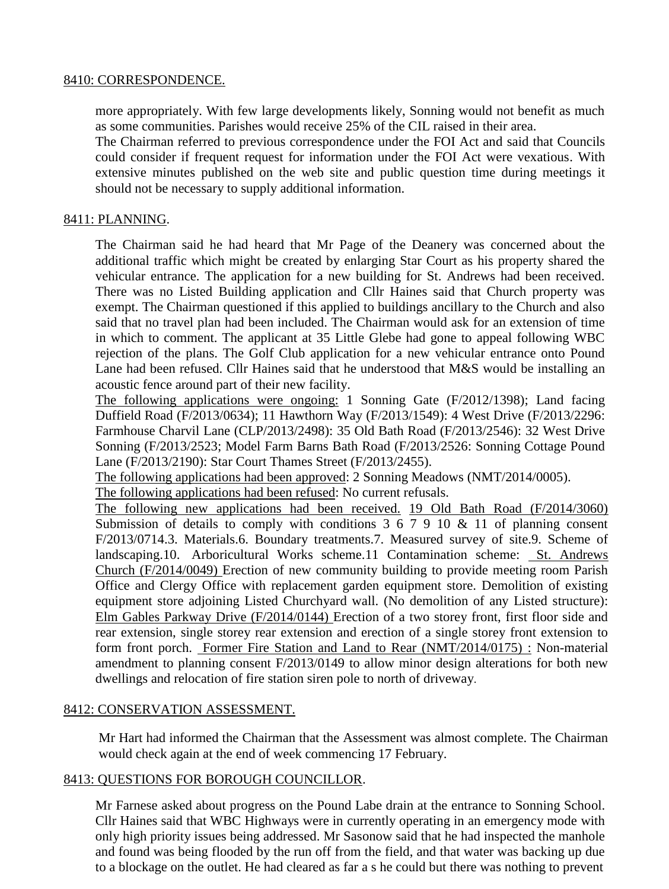## 8410: CORRESPONDENCE.

more appropriately. With few large developments likely, Sonning would not benefit as much as some communities. Parishes would receive 25% of the CIL raised in their area.

The Chairman referred to previous correspondence under the FOI Act and said that Councils could consider if frequent request for information under the FOI Act were vexatious. With extensive minutes published on the web site and public question time during meetings it should not be necessary to supply additional information.

#### 8411: PLANNING.

The Chairman said he had heard that Mr Page of the Deanery was concerned about the additional traffic which might be created by enlarging Star Court as his property shared the vehicular entrance. The application for a new building for St. Andrews had been received. There was no Listed Building application and Cllr Haines said that Church property was exempt. The Chairman questioned if this applied to buildings ancillary to the Church and also said that no travel plan had been included. The Chairman would ask for an extension of time in which to comment. The applicant at 35 Little Glebe had gone to appeal following WBC rejection of the plans. The Golf Club application for a new vehicular entrance onto Pound Lane had been refused. Cllr Haines said that he understood that M&S would be installing an acoustic fence around part of their new facility.

The following applications were ongoing: 1 Sonning Gate (F/2012/1398); Land facing Duffield Road (F/2013/0634); 11 Hawthorn Way (F/2013/1549): 4 West Drive (F/2013/2296: Farmhouse Charvil Lane (CLP/2013/2498): 35 Old Bath Road (F/2013/2546): 32 West Drive Sonning (F/2013/2523; Model Farm Barns Bath Road (F/2013/2526: Sonning Cottage Pound Lane (F/2013/2190): Star Court Thames Street (F/2013/2455).

The following applications had been approved: 2 Sonning Meadows (NMT/2014/0005).

The following applications had been refused: No current refusals.

The following new applications had been received. 19 Old Bath Road (F/2014/3060) Submission of details to comply with conditions  $3\ 6\ 7\ 9\ 10\ \&\ 11$  of planning consent F/2013/0714.3. Materials.6. Boundary treatments.7. Measured survey of site.9. Scheme of landscaping.10. Arboricultural Works scheme.11 Contamination scheme: St. Andrews Church (F/2014/0049) Erection of new community building to provide meeting room Parish Office and Clergy Office with replacement garden equipment store. Demolition of existing equipment store adjoining Listed Churchyard wall. (No demolition of any Listed structure): Elm Gables Parkway Drive (F/2014/0144) Erection of a two storey front, first floor side and rear extension, single storey rear extension and erection of a single storey front extension to form front porch. Former Fire Station and Land to Rear (NMT/2014/0175) : Non-material amendment to planning consent F/2013/0149 to allow minor design alterations for both new dwellings and relocation of fire station siren pole to north of driveway.

## 8412: CONSERVATION ASSESSMENT.

Mr Hart had informed the Chairman that the Assessment was almost complete. The Chairman would check again at the end of week commencing 17 February.

#### 8413: QUESTIONS FOR BOROUGH COUNCILLOR.

Mr Farnese asked about progress on the Pound Labe drain at the entrance to Sonning School. Cllr Haines said that WBC Highways were in currently operating in an emergency mode with only high priority issues being addressed. Mr Sasonow said that he had inspected the manhole and found was being flooded by the run off from the field, and that water was backing up due to a blockage on the outlet. He had cleared as far a s he could but there was nothing to prevent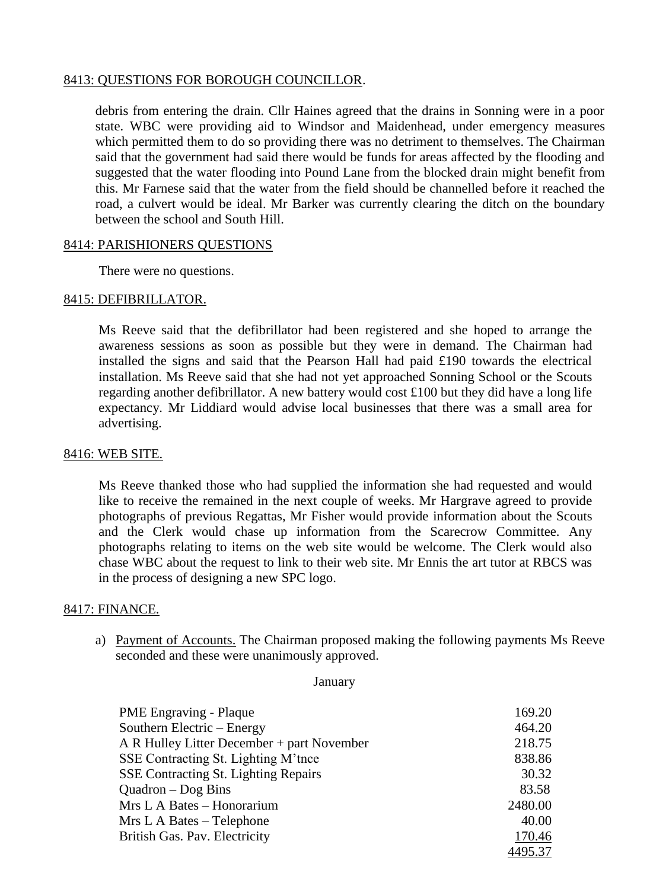# 8413: QUESTIONS FOR BOROUGH COUNCILLOR.

debris from entering the drain. Cllr Haines agreed that the drains in Sonning were in a poor state. WBC were providing aid to Windsor and Maidenhead, under emergency measures which permitted them to do so providing there was no detriment to themselves. The Chairman said that the government had said there would be funds for areas affected by the flooding and suggested that the water flooding into Pound Lane from the blocked drain might benefit from this. Mr Farnese said that the water from the field should be channelled before it reached the road, a culvert would be ideal. Mr Barker was currently clearing the ditch on the boundary between the school and South Hill.

#### 8414: PARISHIONERS QUESTIONS

There were no questions.

#### 8415: DEFIBRILLATOR.

Ms Reeve said that the defibrillator had been registered and she hoped to arrange the awareness sessions as soon as possible but they were in demand. The Chairman had installed the signs and said that the Pearson Hall had paid £190 towards the electrical installation. Ms Reeve said that she had not yet approached Sonning School or the Scouts regarding another defibrillator. A new battery would cost £100 but they did have a long life expectancy. Mr Liddiard would advise local businesses that there was a small area for advertising.

## 8416: WEB SITE.

Ms Reeve thanked those who had supplied the information she had requested and would like to receive the remained in the next couple of weeks. Mr Hargrave agreed to provide photographs of previous Regattas, Mr Fisher would provide information about the Scouts and the Clerk would chase up information from the Scarecrow Committee. Any photographs relating to items on the web site would be welcome. The Clerk would also chase WBC about the request to link to their web site. Mr Ennis the art tutor at RBCS was in the process of designing a new SPC logo.

## 8417: FINANCE.

a) Payment of Accounts. The Chairman proposed making the following payments Ms Reeve seconded and these were unanimously approved.

January

| <b>PME</b> Engraving - Plaque               | 169.20  |
|---------------------------------------------|---------|
| Southern Electric – Energy                  | 464.20  |
| A R Hulley Litter December + part November  | 218.75  |
| SSE Contracting St. Lighting M'tnce         | 838.86  |
| <b>SSE Contracting St. Lighting Repairs</b> | 30.32   |
| $Quadron - Dog Bins$                        | 83.58   |
| Mrs L A Bates - Honorarium                  | 2480.00 |
| Mrs L A Bates – Telephone                   | 40.00   |
| British Gas. Pav. Electricity               | 170.46  |
|                                             | 4495.37 |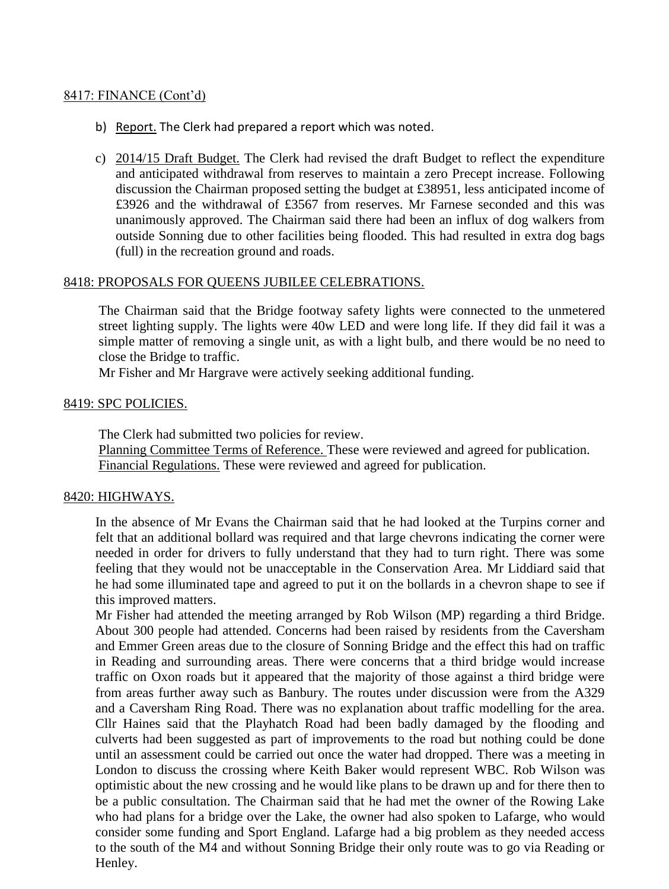## 8417: FINANCE (Cont'd)

- b) Report. The Clerk had prepared a report which was noted.
- c) 2014/15 Draft Budget. The Clerk had revised the draft Budget to reflect the expenditure and anticipated withdrawal from reserves to maintain a zero Precept increase. Following discussion the Chairman proposed setting the budget at £38951, less anticipated income of £3926 and the withdrawal of £3567 from reserves. Mr Farnese seconded and this was unanimously approved. The Chairman said there had been an influx of dog walkers from outside Sonning due to other facilities being flooded. This had resulted in extra dog bags (full) in the recreation ground and roads.

#### 8418: PROPOSALS FOR QUEENS JUBILEE CELEBRATIONS.

The Chairman said that the Bridge footway safety lights were connected to the unmetered street lighting supply. The lights were 40w LED and were long life. If they did fail it was a simple matter of removing a single unit, as with a light bulb, and there would be no need to close the Bridge to traffic.

Mr Fisher and Mr Hargrave were actively seeking additional funding.

#### 8419: SPC POLICIES.

The Clerk had submitted two policies for review. Planning Committee Terms of Reference. These were reviewed and agreed for publication. Financial Regulations. These were reviewed and agreed for publication.

#### 8420: HIGHWAYS.

In the absence of Mr Evans the Chairman said that he had looked at the Turpins corner and felt that an additional bollard was required and that large chevrons indicating the corner were needed in order for drivers to fully understand that they had to turn right. There was some feeling that they would not be unacceptable in the Conservation Area. Mr Liddiard said that he had some illuminated tape and agreed to put it on the bollards in a chevron shape to see if this improved matters.

Mr Fisher had attended the meeting arranged by Rob Wilson (MP) regarding a third Bridge. About 300 people had attended. Concerns had been raised by residents from the Caversham and Emmer Green areas due to the closure of Sonning Bridge and the effect this had on traffic in Reading and surrounding areas. There were concerns that a third bridge would increase traffic on Oxon roads but it appeared that the majority of those against a third bridge were from areas further away such as Banbury. The routes under discussion were from the A329 and a Caversham Ring Road. There was no explanation about traffic modelling for the area. Cllr Haines said that the Playhatch Road had been badly damaged by the flooding and culverts had been suggested as part of improvements to the road but nothing could be done until an assessment could be carried out once the water had dropped. There was a meeting in London to discuss the crossing where Keith Baker would represent WBC. Rob Wilson was optimistic about the new crossing and he would like plans to be drawn up and for there then to be a public consultation. The Chairman said that he had met the owner of the Rowing Lake who had plans for a bridge over the Lake, the owner had also spoken to Lafarge, who would consider some funding and Sport England. Lafarge had a big problem as they needed access to the south of the M4 and without Sonning Bridge their only route was to go via Reading or Henley.